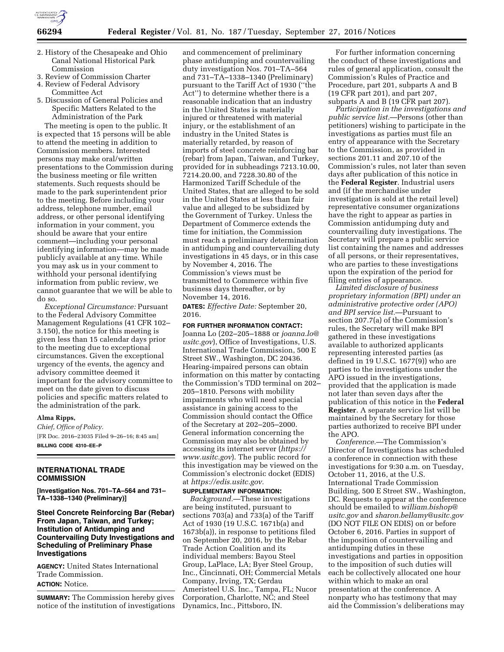

- 2. History of the Chesapeake and Ohio Canal National Historical Park Commission
- 3. Review of Commission Charter
- 4. Review of Federal Advisory Committee Act
- 5. Discussion of General Policies and Specific Matters Related to the Administration of the Park

The meeting is open to the public. It is expected that 15 persons will be able to attend the meeting in addition to Commission members. Interested persons may make oral/written presentations to the Commission during the business meeting or file written statements. Such requests should be made to the park superintendent prior to the meeting. Before including your address, telephone number, email address, or other personal identifying information in your comment, you should be aware that your entire comment—including your personal identifying information—may be made publicly available at any time. While you may ask us in your comment to withhold your personal identifying information from public review, we cannot guarantee that we will be able to do so.

*Exceptional Circumstance:* Pursuant to the Federal Advisory Committee Management Regulations (41 CFR 102– 3.150), the notice for this meeting is given less than 15 calendar days prior to the meeting due to exceptional circumstances. Given the exceptional urgency of the events, the agency and advisory committee deemed it important for the advisory committee to meet on the date given to discuss policies and specific matters related to the administration of the park.

### **Alma Ripps,**

*Chief, Office of Policy.*  [FR Doc. 2016–23035 Filed 9–26–16; 8:45 am] **BILLING CODE 4310–EE–P** 

# **INTERNATIONAL TRADE COMMISSION**

**[Investigation Nos. 701–TA–564 and 731– TA–1338–1340 (Preliminary)]** 

# **Steel Concrete Reinforcing Bar (Rebar) From Japan, Taiwan, and Turkey; Institution of Antidumping and Countervailing Duty Investigations and Scheduling of Preliminary Phase Investigations**

**AGENCY:** United States International Trade Commission. **ACTION:** Notice.

**SUMMARY:** The Commission hereby gives notice of the institution of investigations

and commencement of preliminary phase antidumping and countervailing duty investigation Nos. 701–TA–564 and 731–TA–1338–1340 (Preliminary) pursuant to the Tariff Act of 1930 (''the Act'') to determine whether there is a reasonable indication that an industry in the United States is materially injured or threatened with material injury, or the establishment of an industry in the United States is materially retarded, by reason of imports of steel concrete reinforcing bar (rebar) from Japan, Taiwan, and Turkey, provided for in subheadings 7213.10.00, 7214.20.00, and 7228.30.80 of the Harmonized Tariff Schedule of the United States, that are alleged to be sold in the United States at less than fair value and alleged to be subsidized by the Government of Turkey. Unless the Department of Commerce extends the time for initiation, the Commission must reach a preliminary determination in antidumping and countervailing duty investigations in 45 days, or in this case by November 4, 2016. The Commission's views must be transmitted to Commerce within five business days thereafter, or by November 14, 2016.

**DATES:** *Effective Date:* September 20, 2016.

**FOR FURTHER INFORMATION CONTACT:**  Joanna Lo (202–205–1888 or *[joanna.lo@](mailto:joanna.lo@usitc.gov) [usitc.gov](mailto:joanna.lo@usitc.gov)*), Office of Investigations, U.S. International Trade Commission, 500 E Street SW., Washington, DC 20436. Hearing-impaired persons can obtain information on this matter by contacting the Commission's TDD terminal on 202– 205–1810. Persons with mobility impairments who will need special assistance in gaining access to the Commission should contact the Office of the Secretary at 202–205–2000. General information concerning the Commission may also be obtained by accessing its internet server (*[https://](https://www.usitc.gov) [www.usitc.gov](https://www.usitc.gov)*). The public record for this investigation may be viewed on the Commission's electronic docket (EDIS) at *[https://edis.usitc.gov.](https://edis.usitc.gov)* 

### **SUPPLEMENTARY INFORMATION:**

*Background.*—These investigations are being instituted, pursuant to sections 703(a) and 733(a) of the Tariff Act of 1930 (19 U.S.C. 1671b(a) and 1673b(a)), in response to petitions filed on September 20, 2016, by the Rebar Trade Action Coalition and its individual members: Bayou Steel Group, LaPlace, LA; Byer Steel Group, Inc., Cincinnati, OH; Commercial Metals Company, Irving, TX; Gerdau Ameristeel U.S. Inc., Tampa, FL; Nucor Corporation, Charlotte, NC; and Steel Dynamics, Inc., Pittsboro, IN.

For further information concerning the conduct of these investigations and rules of general application, consult the Commission's Rules of Practice and Procedure, part 201, subparts A and B (19 CFR part 201), and part 207, subparts A and B (19 CFR part 207).

*Participation in the investigations and public service list.*—Persons (other than petitioners) wishing to participate in the investigations as parties must file an entry of appearance with the Secretary to the Commission, as provided in sections 201.11 and 207.10 of the Commission's rules, not later than seven days after publication of this notice in the **Federal Register**. Industrial users and (if the merchandise under investigation is sold at the retail level) representative consumer organizations have the right to appear as parties in Commission antidumping duty and countervailing duty investigations. The Secretary will prepare a public service list containing the names and addresses of all persons, or their representatives, who are parties to these investigations upon the expiration of the period for filing entries of appearance.

*Limited disclosure of business proprietary information (BPI) under an administrative protective order (APO) and BPI service list.*—Pursuant to section 207.7(a) of the Commission's rules, the Secretary will make BPI gathered in these investigations available to authorized applicants representing interested parties (as defined in 19 U.S.C. 1677(9)) who are parties to the investigations under the APO issued in the investigations, provided that the application is made not later than seven days after the publication of this notice in the **Federal Register**. A separate service list will be maintained by the Secretary for those parties authorized to receive BPI under the APO.

*Conference.*—The Commission's Director of Investigations has scheduled a conference in connection with these investigations for 9:30 a.m. on Tuesday, October 11, 2016, at the U.S. International Trade Commission Building, 500 E Street SW., Washington, DC. Requests to appear at the conference should be emailed to *[william.bishop@](mailto:william.bishop@usitc.gov) [usitc.gov](mailto:william.bishop@usitc.gov)* and *[sharon.bellamy@usitc.gov](mailto:sharon.bellamy@usitc.gov)*  (DO NOT FILE ON EDIS) on or before October 6, 2016. Parties in support of the imposition of countervailing and antidumping duties in these investigations and parties in opposition to the imposition of such duties will each be collectively allocated one hour within which to make an oral presentation at the conference. A nonparty who has testimony that may aid the Commission's deliberations may